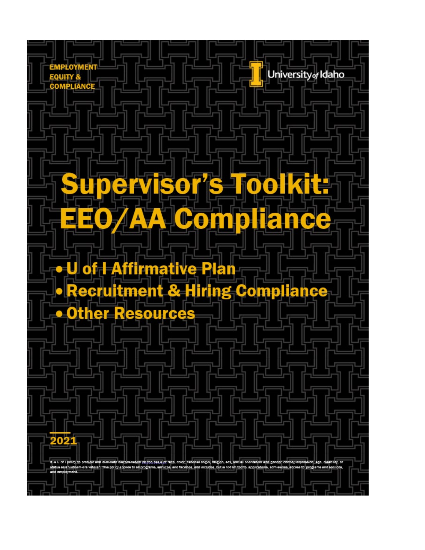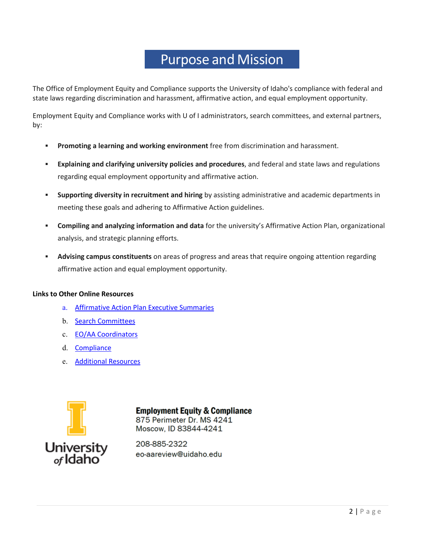### Purpose and Mission

The Office of Employment Equity and Compliance supports the University of Idaho's compliance with federal and state laws regarding discrimination and harassment, affirmative action, and equal employment opportunity.

Employment Equity and Compliance works with U of I administrators, search committees, and external partners, by:

- **Promoting a learning and working environment** free from discrimination and harassment.
- **Explaining and clarifying university policies and procedures**, and federal and state laws and regulations regarding equal employment opportunity and affirmative action.
- **Supporting diversity in recruitment and hiring** by assisting administrative and academic departments in meeting these goals and adhering to Affirmative Action guidelines.
- **Compiling and analyzing information and data** for the university's Affirmative Action Plan, organizational analysis, and strategic planning efforts.
- **Advising campus constituents** on areas of progress and areas that require ongoing attention regarding affirmative action and equal employment opportunity.

#### **Links to Other Online Resources**

- a. [Affirmative](https://www.uidaho.edu/-/media/UIdaho-Responsive/Files/governance/pdl/edl-eeo-aa/Equal-Employment/Resources/aaplanandgoalsfaculty.xlsx?la=en&hash=BCDDB05C9CFF086D061FBABCE545A3FA2530197E) Action Plan Executive Summaries
- b. [Search Committees](https://www.uidaho.edu/governance/equal-employment-opportunity-affirmative-action/information-for-search-committees)
- c. [EO/AA Coordinators](https://www.uidaho.edu/governance/equal-employment-opportunity-affirmative-action/aac)
- d. [Compliance](https://www.uidaho.edu/governance/equal-employment-opportunity-affirmative-action/compliance)
- e. [Additional Resources](https://www.uidaho.edu/governance/equal-employment-opportunity-affirmative-action/resources)



**Employment Equity & Compliance** 875 Perimeter Dr. MS 4241 Moscow. ID 83844-4241

208-885-2322 eo-aareview@uidaho.edu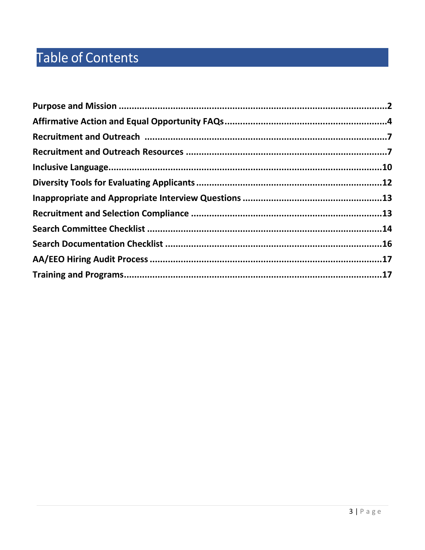# Table of Contents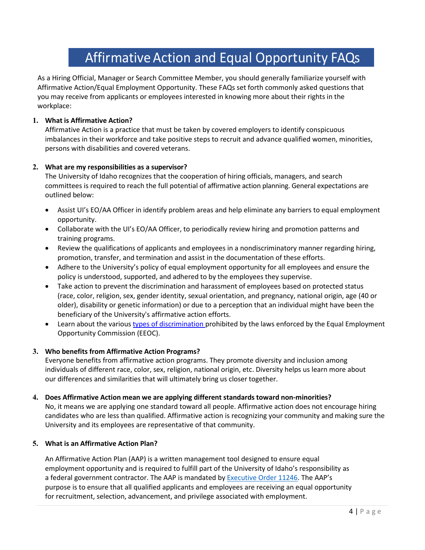# Affirmative Action and Equal Opportunity FAQs

As a Hiring Official, Manager or Search Committee Member, you should generally familiarize yourself with Affirmative Action/Equal Employment Opportunity. These FAQs set forth commonly asked questions that you may receive from applicants or employees interested in knowing more about their rights in the workplace:

#### **1. What is Affirmative Action?**

Affirmative Action is a practice that must be taken by covered employers to identify conspicuous imbalances in their workforce and take positive steps to recruit and advance qualified women, minorities, persons with disabilities and covered veterans.

#### **2. What are my responsibilities as a supervisor?**

The University of Idaho recognizes that the cooperation of hiring officials, managers, and search committees is required to reach the full potential of affirmative action planning. General expectations are outlined below:

- Assist UI's EO/AA Officer in identify problem areas and help eliminate any barriers to equal employment opportunity.
- Collaborate with the UI's EO/AA Officer, to periodically review hiring and promotion patterns and training programs.
- Review the qualifications of applicants and employees in a nondiscriminatory manner regarding hiring, promotion, transfer, and termination and assist in the documentation of these efforts.
- Adhere to the University's policy of equal employment opportunity for all employees and ensure the policy is understood, supported, and adhered to by the employees they supervise.
- Take action to prevent the discrimination and harassment of employees based on protected status (race, color, religion, sex, gender identity, sexual orientation, and pregnancy, national origin, age (40 or older), disability or genetic information) or due to a perception that an individual might have been the beneficiary of the University's affirmative action efforts.
- Learn about the various types of [discrimination](https://www.eeoc.gov/laws/types/) prohibited by the laws enforced by the Equal Employment Opportunity Commission (EEOC).

#### **3. Who benefits from Affirmative Action Programs?**

Everyone benefits from affirmative action programs. They promote diversity and inclusion among individuals of different race, color, sex, religion, national origin, etc. Diversity helps us learn more about our differences and similarities that will ultimately bring us closer together.

#### **4. Does Affirmative Action mean we are applying different standards toward non-minorities?**

No, it means we are applying one standard toward all people. Affirmative action does not encourage hiring candidates who are less than qualified. Affirmative action is recognizing your community and making sure the University and its employees are representative of that community.

#### **5. What is an Affirmative Action Plan?**

An Affirmative Action Plan (AAP) is a written management tool designed to ensure equal employment opportunity and is required to fulfill part of the University of Idaho's responsibility as a federal government contractor. The AAP is mandated by [Executive Order](https://www.dol.gov/ofccp/regs/compliance/ca_11246.htm) 11246. The AAP's purpose is to ensure that all qualified applicants and employees are receiving an equal opportunity for recruitment, selection, advancement, and privilege associated with employment.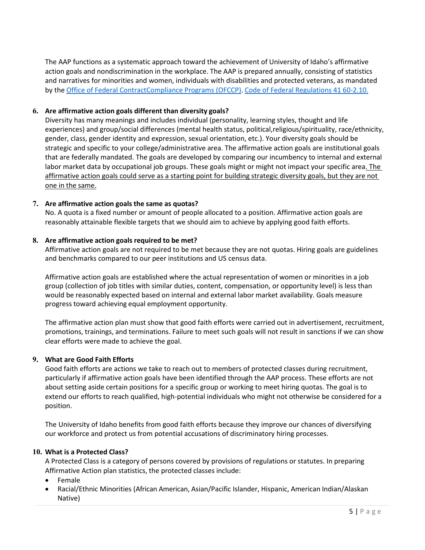The AAP functions as a systematic approach toward the achievement of University of Idaho's affirmative action goals and nondiscrimination in the workplace. The AAP is prepared annually, consisting of statistics and narratives for minorities and women, individuals with disabilities and protected veterans, as mandated by the [Office of Federal ContractCompliance](https://www.dol.gov/ofccp/) Programs (OFCCP). Code of Federal Regulations 41 60-2.10.

#### **6. Are affirmative action goals different than diversity goals?**

Diversity has many meanings and includes individual (personality, learning styles, thought and life experiences) and group/social differences (mental health status, political,religious/spirituality, race/ethnicity, gender, class, gender identity and expression, sexual orientation, etc.). Your diversity goals should be strategic and specific to your college/administrative area. The affirmative action goals are institutional goals that are federally mandated. The goals are developed by comparing our incumbency to internal and external labor market data by occupational job groups. These goals might or might not impact your specific area. The affirmative action goals could serve as a starting point for building strategic diversity goals, but they are not one in the same.

#### **7. Are affirmative action goals the same as quotas?**

No. A quota is a fixed number or amount of people allocated to a position. Affirmative action goals are reasonably attainable flexible targets that we should aim to achieve by applying good faith efforts.

#### **8. Are affirmative action goals required to be met?**

Affirmative action goals are not required to be met because they are not quotas. Hiring goals are guidelines and benchmarks compared to our peer institutions and US census data.

Affirmative action goals are established where the actual representation of women or minorities in a job group (collection of job titles with similar duties, content, compensation, or opportunity level) is less than would be reasonably expected based on internal and external labor market availability. Goals measure progress toward achieving equal employment opportunity.

The affirmative action plan must show that good faith efforts were carried out in advertisement, recruitment, promotions, trainings, and terminations. Failure to meet such goals will not result in sanctions if we can show clear efforts were made to achieve the goal.

#### **9. What are Good Faith Efforts**

Good faith efforts are actions we take to reach out to members of protected classes during recruitment, particularly if affirmative action goals have been identified through the AAP process. These efforts are not about setting aside certain positions for a specific group or working to meet hiring quotas. The goal is to extend our efforts to reach qualified, high-potential individuals who might not otherwise be considered for a position.

The University of Idaho benefits from good faith efforts because they improve our chances of diversifying our workforce and protect us from potential accusations of discriminatory hiring processes.

#### **10. What is a Protected Class?**

A Protected Class is a category of persons covered by provisions of regulations or statutes. In preparing Affirmative Action plan statistics, the protected classes include:

- Female
- Racial/Ethnic Minorities (African American, Asian/Pacific Islander, Hispanic, American Indian/Alaskan Native)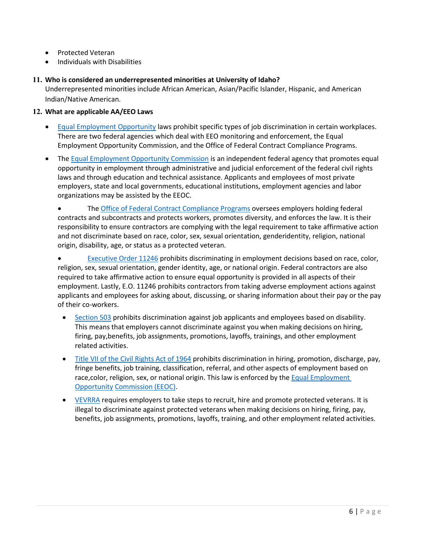- Protected Veteran
- Individuals with Disabilities

#### **11. Who is considered an underrepresented minorities at University of Idaho?**

Underrepresented minorities include African American, Asian/Pacific Islander, Hispanic, and American Indian/Native American.

#### **12. What are applicable AA/EEO Laws**

- [Equal Employment Opportunity](https://www.dol.gov/general/topic/discrimination) laws prohibit specific types of job discrimination in certain workplaces. There are two federal agencies which deal with EEO monitoring and enforcement, the Equal Employment Opportunity Commission, and the Office of Federal Contract Compliance Programs.
- The [Equal Employment Opportunity Commission](http://www.eeoc.gov/) is an independent federal agency that promotes equal opportunity in employment through administrative and judicial enforcement of the federal civil rights laws and through education and technical assistance. Applicants and employees of most private employers, state and local governments, educational institutions, employment agencies and labor organizations may be assisted by the EEOC.

• The [Office of Federal Contract Compliance Programs](https://www.dol.gov/ofccp/) oversees employers holding federal contracts and subcontracts and protects workers, promotes diversity, and enforces the law. It is their responsibility to ensure contractors are complying with the legal requirement to take affirmative action and not discriminate based on race, color, sex, sexual orientation, genderidentity, religion, national origin, disability, age, or status as a protected veteran.

[Executive Order 11246](https://www.dol.gov/ofccp/regs/compliance/ca_11246.htm) prohibits discriminating in employment decisions based on race, color, religion, sex, sexual orientation, gender identity, age, or national origin. Federal contractors are also required to take affirmative action to ensure equal opportunity is provided in all aspects of their employment. Lastly, E.O. 11246 prohibits contractors from taking adverse employment actions against applicants and employees for asking about, discussing, or sharing information about their pay or the pay of their co-workers.

- [Section 503](https://www.dol.gov/ofccp/regs/compliance/section503.htm) prohibits discrimination against job applicants and employees based on disability. This means that employers cannot discriminate against you when making decisions on hiring, firing, pay,benefits, job assignments, promotions, layoffs, trainings, and other employment related activities.
- [Title VII of the Civil Rights Act of 1964](https://www.eeoc.gov/laws/statutes/titlevii.cfm) prohibits discrimination in hiring, promotion, discharge, pay, fringe benefits, job training, classification, referral, and other aspects of employment based on race, color, religion, sex, or national origin. This law is enforced by the Equal Employment [Opportunity](http://www.eeoc.gov/) [Commission](http://www.eeoc.gov/) (EEOC).
- [VEVRRA](https://www.dol.gov/ofccp/regs/compliance/vevraa.htm) requires employers to take steps to recruit, hire and promote protected veterans. It is illegal to discriminate against protected veterans when making decisions on hiring, firing, pay, benefits, job assignments, promotions, layoffs, training, and other employment related activities.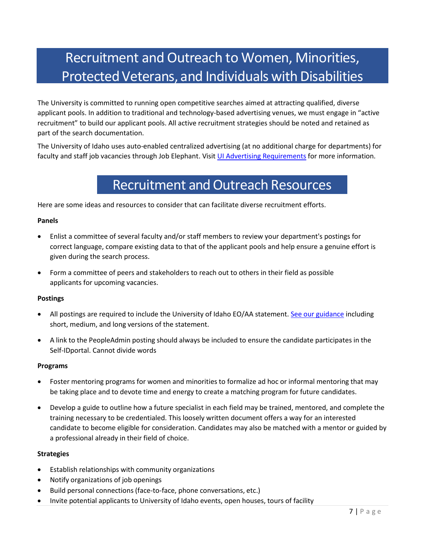## Recruitment and Outreach to Women, Minorities, ProtectedVeterans, and Individuals with Disabilities

The University is committed to running open competitive searches aimed at attracting qualified, diverse applicant pools. In addition to traditional and technology-based advertising venues, we must engage in "active recruitment" to build our applicant pools. All active recruitment strategies should be noted and retained as part of the search documentation.

The University of Idaho uses auto-enabled centralized advertising (at no additional charge for departments) for faculty and staff job vacancies through Job Elephant. Visit [UI Advertising Requirements](https://www.uidaho.edu/-/media/UIdaho-Responsive/Files/governance/pdl/edl-eeo-aa/Equal-Employment/Advertising-Resources/Advertising-Requirements.pdf) for more information.

### Recruitment and Outreach Resources

Here are some ideas and resources to consider that can facilitate diverse recruitment efforts.

#### **Panels**

- Enlist a committee of several faculty and/or staff members to review your department's postings for correct language, compare existing data to that of the applicant pools and help ensure a genuine effort is given during the search process.
- Form a committee of peers and stakeholders to reach out to others in their field as possible applicants for upcoming vacancies.

#### **Postings**

- All postings are required to include the University of Idaho EO/AA statement. [See our guidance](https://www.uidaho.edu/governance/equal-employment-opportunity-affirmative-action/recruitment-and-hiring/guidelines-for-eo-and-aa-statements) including short, medium, and long versions of the statement.
- A link to the PeopleAdmin posting should always be included to ensure the candidate participates in the Self-IDportal. Cannot divide words

#### **Programs**

- Foster mentoring programs for women and minorities to formalize ad hoc or informal mentoring that may be taking place and to devote time and energy to create a matching program for future candidates.
- Develop a guide to outline how a future specialist in each field may be trained, mentored, and complete the training necessary to be credentialed. This loosely written document offers a way for an interested candidate to become eligible for consideration. Candidates may also be matched with a mentor or guided by a professional already in their field of choice.

#### **Strategies**

- Establish relationships with community organizations
- Notify organizations of job openings
- Build personal connections (face-to-face, phone conversations, etc.)
- Invite potential applicants to University of Idaho events, open houses, tours of facility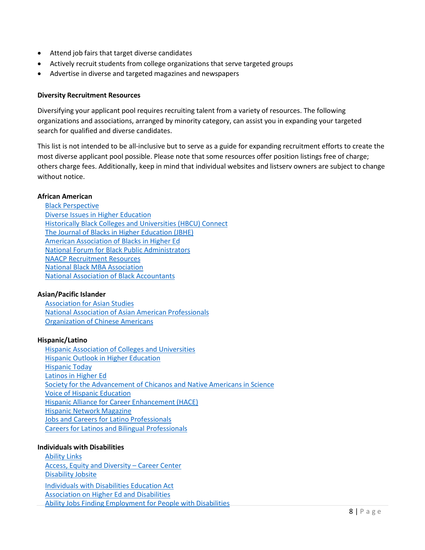- Attend job fairs that target diverse candidates
- Actively recruit students from college organizations that serve targeted groups
- Advertise in diverse and targeted magazines and newspapers

#### **Diversity Recruitment Resources**

Diversifying your applicant pool requires recruiting talent from a variety of resources. The following organizations and associations, arranged by minority category, can assist you in expanding your targeted search for qualified and diverse candidates.

This list is not intended to be all-inclusive but to serve as a guide for expanding recruitment efforts to create the most diverse applicant pool possible. Please note that some resources offer position listings free of charge; others charge fees. Additionally, keep in mind that individual websites and listserv owners are subject to change without notice.

#### **African American**

#### **Asian/Pacific Islander**

[Association](http://www.asian-studies.org/) for Asian Studies National Association of Asian American [Professionals](http://www.naaap.org/) [Organization](http://www.ocanational.org/) of Chinese Americans

#### **Hispanic/Latino**

Hispanic Association of Colleges and [Universities](http://www.hacu.net/) Hispanic Outlook in [Higher Education](http://www.hispanicoutlook.com/) [Hispanic](http://www.hispanic-today.com/) Today Latinos [in Higher](http://www.latinosinhighered.com/) Ed Society for the [Advancement of Chicanos](http://www.sacnas.org/) and Native Americans in Science Voice [of Hispanic](http://www.hacu.net/hacu/default.asp) Education Hispanic Alliance for Career [Enhancement](http://www.haceonline.org/) (HACE) Hispanic Network [Magazine](http://www.hnmagazine.com/) Jobs and Careers for Latino [Professionals](https://www.ihispano.com/) Careers for Latinos and [Bilingual Professionals](http://www.latpro.com/)

#### **Individuals with Disabilities**

[Ability](http://www.abilitylinks.org/) Links Access, Equity and Diversity – [Career Center](https://affirmativeaction-jobs.careerwebsite.com/) [Disability](http://www.disabilityjobsite.com/) Jobsite Individuals with [Disabilities](http://idea.ed.gov/) Education Act [Association](http://www.ahead.org/) on Higher Ed and Disabilities Ability Jobs Finding [Employment for](http://www.abilityjobs.com/) People with Disabilities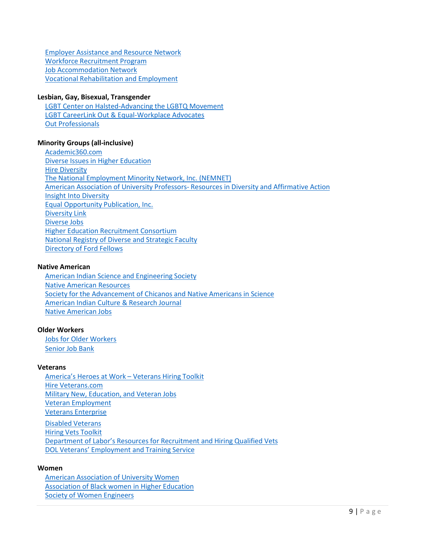Employer [Assistance](https://www.askearn.org/) and Resource Network Workforce [Recruitment](http://wrp.jobs/employers/) Program Job [Accommodation](https://askjan.org/links/about.htm) Network Vocational [Rehabilitation](https://www.benefits.va.gov/vocrehab/index.asp) and Employment

#### **Lesbian, Gay, Bisexual, Transgender**

LGBT Center on [Halsted-Advancing](http://www.centeronhalsted.org/) the LGBTQ Movement LGBT CareerLink Out & [Equal-Workplace](http://outandequal.com/) Advocates Out [Professionals](http://www.outprofessionals.org/)

#### **Minority Groups (all-inclusive)**

[Academic360.com](http://www.academic360.com/) Diverse Issues [in Higher Education](http://diverseeducation.com/) Hire [Diversity](https://www.diversity.com/) The National [Employment Minority](http://www.nemnet.com/) Network, Inc. (NEMNET) American Association [of University](http://www.aaup.org/) Professors- Resources in Diversity and Affirmative Action Insight Into [Diversity](http://www.insightintodiversity.com/) Equal [Opportunity](http://www.eop.com/) Publication, Inc. [Diversity](http://www.diversitylink.com/) Link [Diverse](http://diversejobs.net/) Jobs Higher Education [Recruitment Consortium](https://www.hercjobs.org/career_advice/diversity_resources/index.html) National Registry [of Diverse](http://www.theregistry.ttu.edu/) and Strategic Faculty [Directory](http://nrc58.nas.edu/FordFellowDirect/Main/Main.aspx) of Ford Fellows

#### **Native American**

American Indian Science and [Engineering](http://www.aises.org/) Society Native American [Resources](http://www.hanksville.org/NAresources/) Society for the [Advancement of Chicanos](http://www.sacnas.org/) and Native Americans in Science American Indian [Culture &](http://www.aisc.ucla.edu/) Research Journal Native [American](http://www.nativeamericanjobs.com/) Jobs

#### **Older Workers**

Jobs [for Older Workers](http://workforce50.com/) Senior [Job Bank](http://www.seniorjobbank.org/)

#### **Veterans**

[America's](https://www.dol.gov/vets/ahaw/) Heroes at Work – Veterans Hiring Toolkit Hire [Veterans.com](http://www.hireveterans.com/) Military [New, Education,](http://www.military.com/) and Veteran Jobs Veteran [Employment](https://www.hireheroesusa.org/) Veterans [Enterprise](http://www.veteransenterprise.com/) Disabled [Veterans](https://www.jofdav.com/) Hiring Vets [Toolkit](http://www.dol.gov/vets/ahaw/) Department of Labor's Resources for [Recruitment](https://www.dol.gov/ofccp/regs/compliance/resources_recruit.htm) and Hiring Qualified Vets DOL [Veterans' Employment and](https://www.dol.gov/vets/hire/index.htm) Training Service

#### **Women**

American [Association](http://www.aauw.org/) of University Women [Association](http://abwhe.org/) of Black women in Higher Education Society of Women [Engineers](http://www.swe.org/)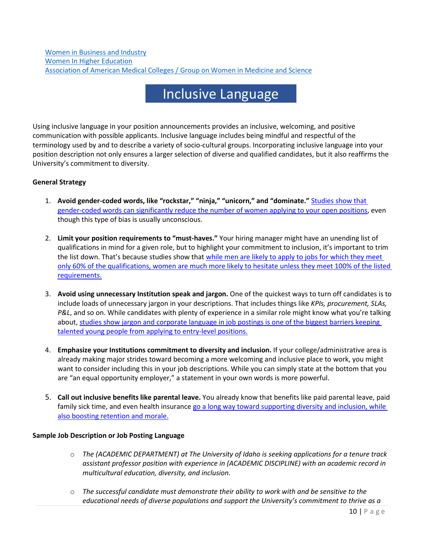### Inclusive Language

Using inclusive language in your position announcements provides an inclusive, welcoming, and positive communication with possible applicants. Inclusive language includes being mindful and respectful of the terminology used by and to describe a variety of socio-cultural groups. Incorporating inclusive language into your position description not only ensures a larger selection of diverse and qualified candidates, but it also reaffirms the University's commitment to diversity.

#### **General Strategy**

- 1. **Avoid gender-coded words, like "rockstar," "ninja," "unicorn," and "dominate."** [Studies show that](https://business.linkedin.com/talent-solutions/blog/job-descriptions/2016/17-words-that-are-turning-women-away-from-your-jobs)  [gender-coded words can significantly reduce the number of women applying to your open positions,](https://business.linkedin.com/talent-solutions/blog/job-descriptions/2016/17-words-that-are-turning-women-away-from-your-jobs) even though this type of bias is usually unconscious.
- 2. **Limit your position requirements to "must-haves."** Your hiring manager might have an unending list of qualifications in mind for a given role, but to highlight your commitment to inclusion, it's important to trim the list down. That's because studies show that [while men are likely to apply to jobs for which they meet](https://hbr.org/2014/08/why-women-dont-apply-for-jobs-unless-theyre-100-qualified)  [only 60% of the qualifications, women are much more likely to hesitate unless they meet 100% of the listed](https://hbr.org/2014/08/why-women-dont-apply-for-jobs-unless-theyre-100-qualified)  [requirements.](https://hbr.org/2014/08/why-women-dont-apply-for-jobs-unless-theyre-100-qualified)
- 3. **Avoid using unnecessary Institution speak and jargon.** One of the quickest ways to turn off candidates is to include loads of unnecessary jargon in your descriptions. That includes things like *KPIs, procurement, SLAs, P&L*, and so on. While candidates with plenty of experience in a similar role might know what you're talking about, [studies show jargon and corporate language in job postings is one of the biggest barriers keeping](https://business.linkedin.com/talent-solutions/blog/job-descriptions/2017/cut-the-jargon-and-3-other-tips-for-entry-level-job-description)  [talented young people from applying to entry-level positions.](https://business.linkedin.com/talent-solutions/blog/job-descriptions/2017/cut-the-jargon-and-3-other-tips-for-entry-level-job-description)
- 4. **Emphasize your Institutions commitment to diversity and inclusion.** If your college/administrative area is already making major strides toward becoming a more welcoming and inclusive place to work, you might want to consider including this in your job descriptions. While you can simply state at the bottom that you are "an equal opportunity employer," a statement in your own words is more powerful.
- 5. **Call out inclusive benefits like parental leave.** You already know that benefits like paid parental leave, paid family sick time, and even health insurance go a long way toward supporting diversity and inclusion, while [also boosting retention and morale.](https://www.fastcompany.com/3055977/the-real-cost-of-paid-parental-leave-for-business)

#### **Sample Job Description or Job Posting Language**

- o *The (ACADEMIC DEPARTMENT) at The University of Idaho is seeking applications for a tenure track assistant professor position with experience in (ACADEMIC DISCIPLINE) with an academic record in multicultural education, diversity, and inclusion.*
- o *The successful candidate must demonstrate their ability to work with and be sensitive to the educational needs of diverse populations and support the University's commitment to thrive as a*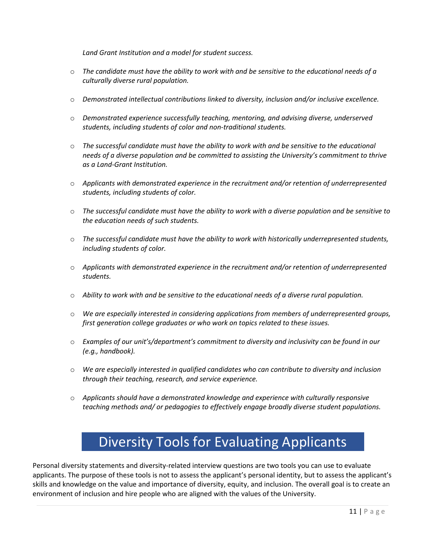*Land Grant Institution and a model for student success.*

- o *The candidate must have the ability to work with and be sensitive to the educational needs of a culturally diverse rural population.*
- o *Demonstrated intellectual contributions linked to diversity, inclusion and/or inclusive excellence.*
- o *Demonstrated experience successfully teaching, mentoring, and advising diverse, underserved students, including students of color and non-traditional students.*
- o *The successful candidate must have the ability to work with and be sensitive to the educational needs of a diverse population and be committed to assisting the University's commitment to thrive as a Land-Grant Institution.*
- o *Applicants with demonstrated experience in the recruitment and/or retention of underrepresented students, including students of color.*
- o *The successful candidate must have the ability to work with a diverse population and be sensitive to the education needs of such students.*
- o *The successful candidate must have the ability to work with historically underrepresented students, including students of color.*
- o *Applicants with demonstrated experience in the recruitment and/or retention of underrepresented students.*
- o *Ability to work with and be sensitive to the educational needs of a diverse rural population.*
- o *We are especially interested in considering applications from members of underrepresented groups, first generation college graduates or who work on topics related to these issues.*
- o *Examples of our unit's/department's commitment to diversity and inclusivity can be found in our (e.g., handbook).*
- o *We are especially interested in qualified candidates who can contribute to diversity and inclusion through their teaching, research, and service experience.*
- o *Applicants should have a demonstrated knowledge and experience with culturally responsive teaching methods and/ or pedagogies to effectively engage broadly diverse student populations.*

### Diversity Tools for Evaluating Applicants

Personal diversity statements and diversity-related interview questions are two tools you can use to evaluate applicants. The purpose of these tools is not to assess the applicant's personal identity, but to assess the applicant's skills and knowledge on the value and importance of diversity, equity, and inclusion. The overall goal is to create an environment of inclusion and hire people who are aligned with the values of the University.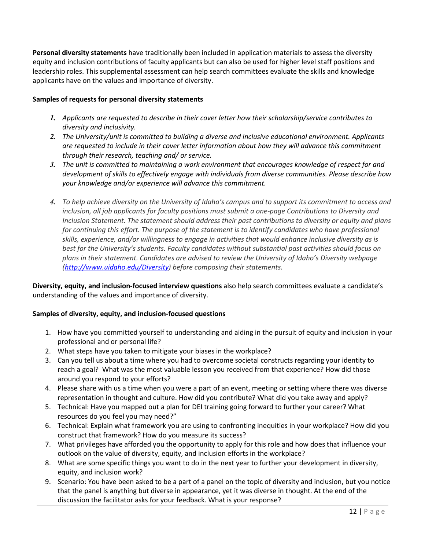**Personal diversity statements** have traditionally been included in application materials to assess the diversity equity and inclusion contributions of faculty applicants but can also be used for higher level staff positions and leadership roles. This supplemental assessment can help search committees evaluate the skills and knowledge applicants have on the values and importance of diversity.

#### **Samples of requests for personal diversity statements**

- *1. Applicants are requested to describe in their cover letter how their scholarship/service contributes to diversity and inclusivity.*
- *2. The University/unit is committed to building a diverse and inclusive educational environment. Applicants are requested to include in their cover letter information about how they will advance this commitment through their research, teaching and/ or service.*
- *3. The unit is committed to maintaining a work environment that encourages knowledge of respect for and development of skills to effectively engage with individuals from diverse communities. Please describe how your knowledge and/or experience will advance this commitment.*
- *4. To help achieve diversity on the University of Idaho's campus and to support its commitment to access and inclusion, all job applicants for faculty positions must submit a one-page Contributions to Diversity and Inclusion Statement. The statement should address their past contributions to diversity or equity and plans for continuing this effort. The purpose of the statement is to identify candidates who have professional skills, experience, and/or willingness to engage in activities that would enhance inclusive diversity as is best for the University's students. Faculty candidates without substantial past activities should focus on plans in their statement. Candidates are advised to review the University of Idaho's Diversity webpage [\(http://www.uidaho.edu/Diversity\)](http://www.uidaho.edu/Diversity-Human-Rights) before composing their statements.*

**Diversity, equity, and inclusion-focused interview questions** also help search committees evaluate a candidate's understanding of the values and importance of diversity.

#### **Samples of diversity, equity, and inclusion-focused questions**

- 1. How have you committed yourself to understanding and aiding in the pursuit of equity and inclusion in your professional and or personal life?
- 2. What steps have you taken to mitigate your biases in the workplace?
- 3. Can you tell us about a time where you had to overcome societal constructs regarding your identity to reach a goal? What was the most valuable lesson you received from that experience? How did those around you respond to your efforts?
- 4. Please share with us a time when you were a part of an event, meeting or setting where there was diverse representation in thought and culture. How did you contribute? What did you take away and apply?
- 5. Technical: Have you mapped out a plan for DEI training going forward to further your career? What resources do you feel you may need?"
- 6. Technical: Explain what framework you are using to confronting inequities in your workplace? How did you construct that framework? How do you measure its success?
- 7. What privileges have afforded you the opportunity to apply for this role and how does that influence your outlook on the value of diversity, equity, and inclusion efforts in the workplace?
- 8. What are some specific things you want to do in the next year to further your development in diversity, equity, and inclusion work?
- 9. Scenario: You have been asked to be a part of a panel on the topic of diversity and inclusion, but you notice that the panel is anything but diverse in appearance, yet it was diverse in thought. At the end of the discussion the facilitator asks for your feedback. What is your response?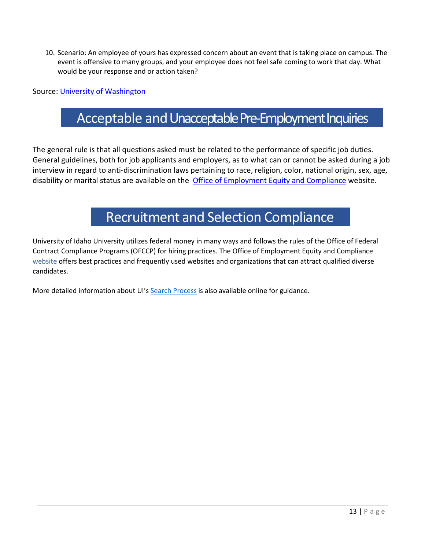10. Scenario: An employee of yours has expressed concern about an event that is taking place on campus. The event is offensive to many groups, and your employee does not feel safe coming to work that day. What would be your response and or action taken?

Source: [University of Washington](https://hr.uw.edu/diversity/hiring/tools-for-evaluating-applicants/)

### Acceptable and Unacceptable Pre-Employment Inquiries

The general rule is that all questions asked must be related to the performance of specific job duties. General guidelines, both for job applicants and employers, as to what can or cannot be asked during a job interview in regard to anti-discrimination laws pertaining to race, religion, color, national origin, sex, age, disability or marital status are available on the [Office of Employment Equity and Compliance](https://www.uidaho.edu/governance/equal-employment-opportunity-affirmative-action/information-for-search-committees/pre-employment-inquiries) website.

### Recruitment and Selection Compliance

University of Idaho University utilizes federal money in many ways and follows the rules of the Office of Federal Contract Compliance Programs (OFCCP) for hiring practices. The Office of Employment Equity and Compliance [website](https://www.uidaho.edu/governance/equal-employment-opportunity-affirmative-action/recruitment-and-hiring/recruitment-advertising-resources) offers best practices and frequently used websites and organizations that can attract qualified diverse candidates.

More detailed information about UI's Search [Process](https://www.uidaho.edu/governance/equal-employment-opportunity-affirmative-action/recruitment-and-hiring/best-practices-manual) is also available online for guidance.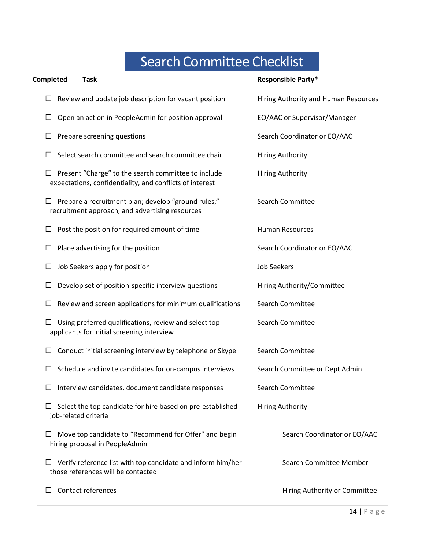# Search Committee Checklist

| Completed<br>Task                                                                                               | <b>Responsible Party*</b>            |
|-----------------------------------------------------------------------------------------------------------------|--------------------------------------|
| Review and update job description for vacant position                                                           | Hiring Authority and Human Resources |
| Open an action in PeopleAdmin for position approval                                                             | EO/AAC or Supervisor/Manager         |
| Prepare screening questions                                                                                     | Search Coordinator or EO/AAC         |
| Select search committee and search committee chair                                                              | <b>Hiring Authority</b>              |
| Present "Charge" to the search committee to include<br>expectations, confidentiality, and conflicts of interest | <b>Hiring Authority</b>              |
| Prepare a recruitment plan; develop "ground rules,"<br>recruitment approach, and advertising resources          | <b>Search Committee</b>              |
| Post the position for required amount of time                                                                   | <b>Human Resources</b>               |
| Place advertising for the position<br>ப                                                                         | Search Coordinator or EO/AAC         |
| Job Seekers apply for position<br>ப                                                                             | <b>Job Seekers</b>                   |
| Develop set of position-specific interview questions                                                            | Hiring Authority/Committee           |
| Review and screen applications for minimum qualifications                                                       | <b>Search Committee</b>              |
| Using preferred qualifications, review and select top<br>applicants for initial screening interview             | <b>Search Committee</b>              |
| Conduct initial screening interview by telephone or Skype                                                       | <b>Search Committee</b>              |
| Schedule and invite candidates for on-campus interviews                                                         | Search Committee or Dept Admin       |
| Interview candidates, document candidate responses                                                              | <b>Search Committee</b>              |
| Select the top candidate for hire based on pre-established<br>job-related criteria                              | <b>Hiring Authority</b>              |
| Move top candidate to "Recommend for Offer" and begin<br>hiring proposal in PeopleAdmin                         | Search Coordinator or EO/AAC         |
| Verify reference list with top candidate and inform him/her<br>ப<br>those references will be contacted          | Search Committee Member              |
| Contact references                                                                                              | Hiring Authority or Committee        |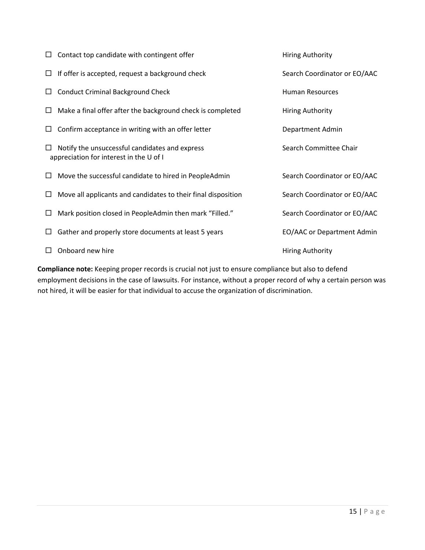|        | Contact top candidate with contingent offer                                               | <b>Hiring Authority</b>      |
|--------|-------------------------------------------------------------------------------------------|------------------------------|
| $\Box$ | If offer is accepted, request a background check                                          | Search Coordinator or EO/AAC |
| $\Box$ | <b>Conduct Criminal Background Check</b>                                                  | <b>Human Resources</b>       |
| ப      | Make a final offer after the background check is completed                                | <b>Hiring Authority</b>      |
|        | Confirm acceptance in writing with an offer letter                                        | Department Admin             |
|        | Notify the unsuccessful candidates and express<br>appreciation for interest in the U of I | Search Committee Chair       |
| ப      | Move the successful candidate to hired in PeopleAdmin                                     | Search Coordinator or EO/AAC |
|        | Move all applicants and candidates to their final disposition                             | Search Coordinator or EO/AAC |
|        | Mark position closed in PeopleAdmin then mark "Filled."                                   | Search Coordinator or EO/AAC |
|        | Gather and properly store documents at least 5 years                                      | EO/AAC or Department Admin   |
|        | Onboard new hire                                                                          | <b>Hiring Authority</b>      |

**Compliance note:** Keeping proper records is crucial not just to ensure compliance but also to defend employment decisions in the case of lawsuits. For instance, without a proper record of why a certain person was not hired, it will be easier for that individual to accuse the organization of discrimination.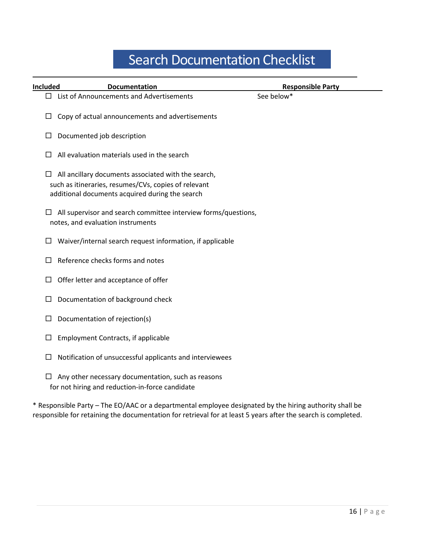## Search Documentation Checklist

| Included | <b>Documentation</b>                                                                                                                                           | <b>Responsible Party</b> |
|----------|----------------------------------------------------------------------------------------------------------------------------------------------------------------|--------------------------|
|          | $\Box$ List of Announcements and Advertisements                                                                                                                | See below*               |
| $\Box$   | Copy of actual announcements and advertisements                                                                                                                |                          |
| ш        | Documented job description                                                                                                                                     |                          |
|          | All evaluation materials used in the search                                                                                                                    |                          |
| ப        | All ancillary documents associated with the search,<br>such as itineraries, resumes/CVs, copies of relevant<br>additional documents acquired during the search |                          |
| $\Box$   | All supervisor and search committee interview forms/questions,<br>notes, and evaluation instruments                                                            |                          |
| ப        | Waiver/internal search request information, if applicable                                                                                                      |                          |
|          | Reference checks forms and notes                                                                                                                               |                          |
|          | Offer letter and acceptance of offer                                                                                                                           |                          |
|          | Documentation of background check                                                                                                                              |                          |
|          | Documentation of rejection(s)                                                                                                                                  |                          |
|          | <b>Employment Contracts, if applicable</b>                                                                                                                     |                          |
|          | Notification of unsuccessful applicants and interviewees                                                                                                       |                          |
|          | Any other necessary documentation, such as reasons<br>for not hiring and reduction-in-force candidate                                                          |                          |

\* Responsible Party – The EO/AAC or a departmental employee designated by the hiring authority shall be responsible for retaining the documentation for retrieval for at least 5 years after the search is completed.